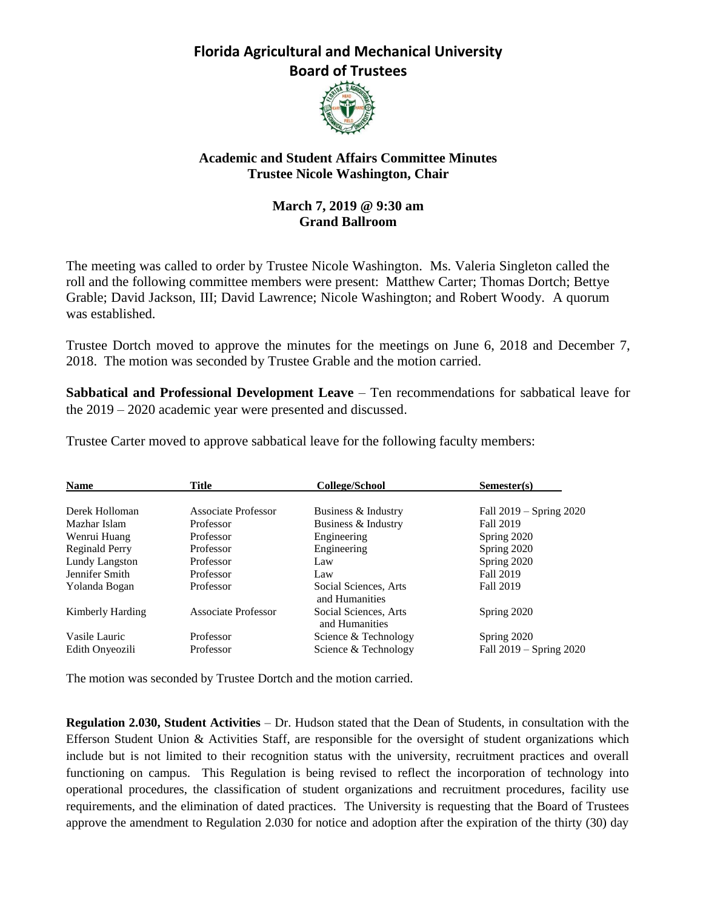### **Florida Agricultural and Mechanical University Board of Trustees**



#### **Academic and Student Affairs Committee Minutes Trustee Nicole Washington, Chair**

#### **March 7, 2019 @ 9:30 am Grand Ballroom**

The meeting was called to order by Trustee Nicole Washington. Ms. Valeria Singleton called the roll and the following committee members were present: Matthew Carter; Thomas Dortch; Bettye Grable; David Jackson, III; David Lawrence; Nicole Washington; and Robert Woody. A quorum was established.

Trustee Dortch moved to approve the minutes for the meetings on June 6, 2018 and December 7, 2018. The motion was seconded by Trustee Grable and the motion carried.

**Sabbatical and Professional Development Leave – Ten recommendations for sabbatical leave for** the 2019 – 2020 academic year were presented and discussed.

| <b>Name</b>      | <b>Title</b>        | College/School                          | Semester(s)                 |
|------------------|---------------------|-----------------------------------------|-----------------------------|
| Derek Holloman   | Associate Professor | Business & Industry                     | Fall 2019 – Spring 2020     |
| Mazhar Islam     | Professor           | Business & Industry                     | <b>Fall 2019</b>            |
| Wenrui Huang     | Professor           | Engineering                             | Spring 2020                 |
| Reginald Perry   | Professor           | Engineering                             | Spring 2020                 |
| Lundy Langston   | Professor           | Law                                     | Spring 2020                 |
| Jennifer Smith   | Professor           | Law                                     | Fall 2019                   |
| Yolanda Bogan    | Professor           | Social Sciences, Arts<br>and Humanities | <b>Fall 2019</b>            |
| Kimberly Harding | Associate Professor | Social Sciences, Arts<br>and Humanities | Spring 2020                 |
| Vasile Lauric    | Professor           | Science & Technology                    | Spring 2020                 |
| Edith Onyeozili  | Professor           | Science & Technology                    | Fall $2019 -$ Spring $2020$ |

Trustee Carter moved to approve sabbatical leave for the following faculty members:

The motion was seconded by Trustee Dortch and the motion carried.

**Regulation 2.030, Student Activities** – Dr. Hudson stated that the Dean of Students, in consultation with the Efferson Student Union & Activities Staff, are responsible for the oversight of student organizations which include but is not limited to their recognition status with the university, recruitment practices and overall functioning on campus. This Regulation is being revised to reflect the incorporation of technology into operational procedures, the classification of student organizations and recruitment procedures, facility use requirements, and the elimination of dated practices. The University is requesting that the Board of Trustees approve the amendment to Regulation 2.030 for notice and adoption after the expiration of the thirty (30) day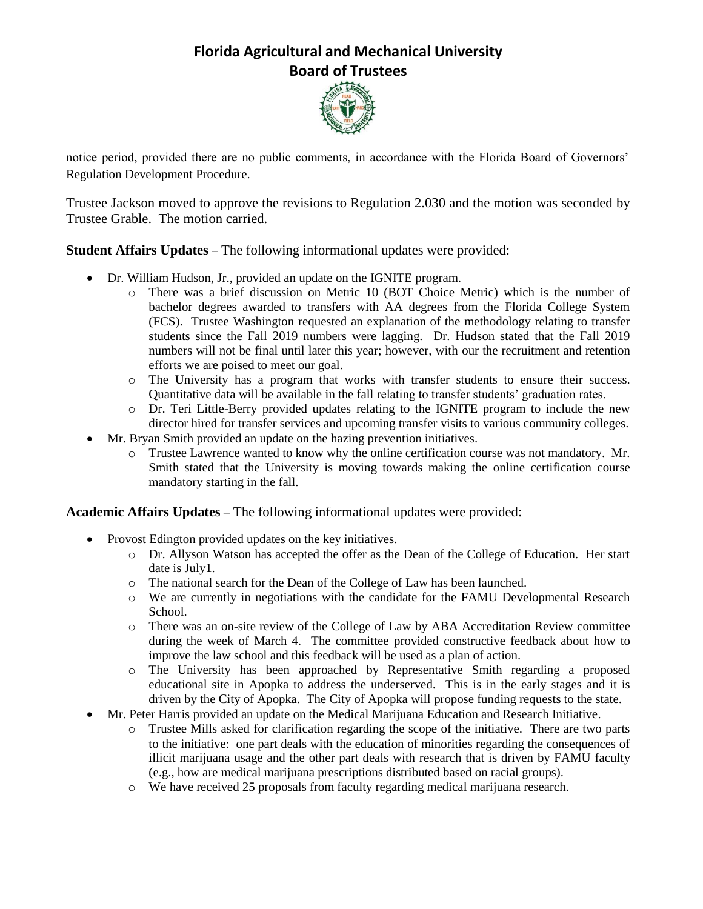## **Florida Agricultural and Mechanical University Board of Trustees**



notice period, provided there are no public comments, in accordance with the Florida Board of Governors' Regulation Development Procedure.

Trustee Jackson moved to approve the revisions to Regulation 2.030 and the motion was seconded by Trustee Grable. The motion carried.

**Student Affairs Updates** – The following informational updates were provided:

- Dr. William Hudson, Jr., provided an update on the IGNITE program.
	- o There was a brief discussion on Metric 10 (BOT Choice Metric) which is the number of bachelor degrees awarded to transfers with AA degrees from the Florida College System (FCS). Trustee Washington requested an explanation of the methodology relating to transfer students since the Fall 2019 numbers were lagging. Dr. Hudson stated that the Fall 2019 numbers will not be final until later this year; however, with our the recruitment and retention efforts we are poised to meet our goal.
	- o The University has a program that works with transfer students to ensure their success. Quantitative data will be available in the fall relating to transfer students' graduation rates.
	- o Dr. Teri Little-Berry provided updates relating to the IGNITE program to include the new director hired for transfer services and upcoming transfer visits to various community colleges.
- Mr. Bryan Smith provided an update on the hazing prevention initiatives.
	- o Trustee Lawrence wanted to know why the online certification course was not mandatory. Mr. Smith stated that the University is moving towards making the online certification course mandatory starting in the fall.

**Academic Affairs Updates** – The following informational updates were provided:

- Provost Edington provided updates on the key initiatives.
	- o Dr. Allyson Watson has accepted the offer as the Dean of the College of Education. Her start date is July1.
	- o The national search for the Dean of the College of Law has been launched.
	- o We are currently in negotiations with the candidate for the FAMU Developmental Research School.
	- o There was an on-site review of the College of Law by ABA Accreditation Review committee during the week of March 4. The committee provided constructive feedback about how to improve the law school and this feedback will be used as a plan of action.
	- o The University has been approached by Representative Smith regarding a proposed educational site in Apopka to address the underserved. This is in the early stages and it is driven by the City of Apopka. The City of Apopka will propose funding requests to the state.
- Mr. Peter Harris provided an update on the Medical Marijuana Education and Research Initiative.
	- o Trustee Mills asked for clarification regarding the scope of the initiative. There are two parts to the initiative: one part deals with the education of minorities regarding the consequences of illicit marijuana usage and the other part deals with research that is driven by FAMU faculty (e.g., how are medical marijuana prescriptions distributed based on racial groups).
	- o We have received 25 proposals from faculty regarding medical marijuana research.